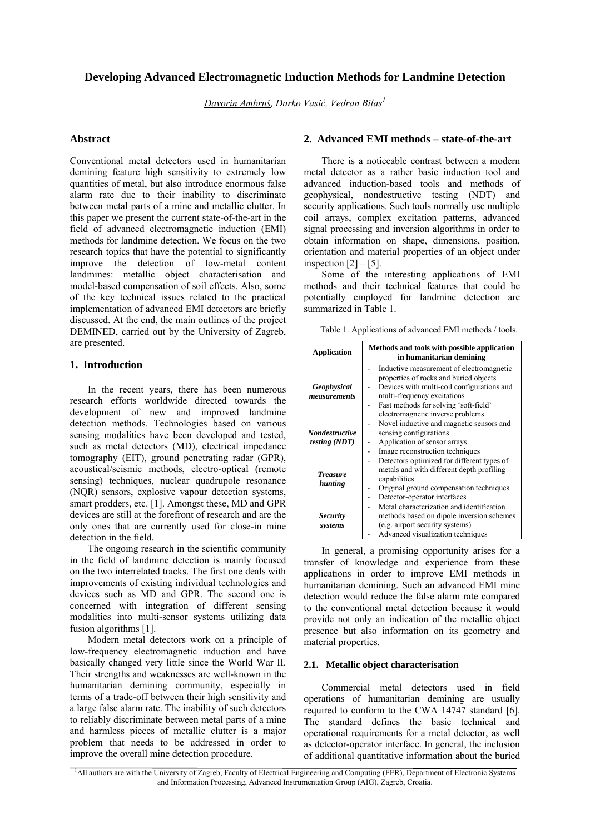# **Developing Advanced Electromagnetic Induction Methods for Landmine Detection**

*Davorin Ambruš, Darko Vasić, Vedran Bilas<sup>1</sup>*

## **Abstract**

Conventional metal detectors used in humanitarian demining feature high sensitivity to extremely low quantities of metal, but also introduce enormous false alarm rate due to their inability to discriminate between metal parts of a mine and metallic clutter. In this paper we present the current state-of-the-art in the field of advanced electromagnetic induction (EMI) methods for landmine detection. We focus on the two research topics that have the potential to significantly improve the detection of low-metal content landmines: metallic object characterisation and model-based compensation of soil effects. Also, some of the key technical issues related to the practical implementation of advanced EMI detectors are briefly discussed. At the end, the main outlines of the project DEMINED, carried out by the University of Zagreb, are presented.

# **1. Introduction**

In the recent years, there has been numerous research efforts worldwide directed towards the development of new and improved landmine detection methods. Technologies based on various sensing modalities have been developed and tested, such as metal detectors (MD), electrical impedance tomography (EIT), ground penetrating radar (GPR), acoustical/seismic methods, electro-optical (remote sensing) techniques, nuclear quadrupole resonance (NQR) sensors, explosive vapour detection systems, smart prodders, etc. [1]. Amongst these, MD and GPR devices are still at the forefront of research and are the only ones that are currently used for close-in mine detection in the field.

The ongoing research in the scientific community in the field of landmine detection is mainly focused on the two interrelated tracks. The first one deals with improvements of existing individual technologies and devices such as MD and GPR. The second one is concerned with integration of different sensing modalities into multi-sensor systems utilizing data fusion algorithms [1].

Modern metal detectors work on a principle of low-frequency electromagnetic induction and have basically changed very little since the World War II. Their strengths and weaknesses are well-known in the humanitarian demining community, especially in terms of a trade-off between their high sensitivity and a large false alarm rate. The inability of such detectors to reliably discriminate between metal parts of a mine and harmless pieces of metallic clutter is a major problem that needs to be addressed in order to improve the overall mine detection procedure.

### **2. Advanced EMI methods – state-of-the-art**

There is a noticeable contrast between a modern metal detector as a rather basic induction tool and advanced induction-based tools and methods of geophysical, nondestructive testing (NDT) and security applications. Such tools normally use multiple coil arrays, complex excitation patterns, advanced signal processing and inversion algorithms in order to obtain information on shape, dimensions, position, orientation and material properties of an object under inspection  $[2] - [5]$ .

Some of the interesting applications of EMI methods and their technical features that could be potentially employed for landmine detection are summarized in Table 1.

Table 1. Applications of advanced EMI methods / tools.

| <b>Application</b>                       | Methods and tools with possible application<br>in humanitarian demining                                                                                                                                                                      |  |  |
|------------------------------------------|----------------------------------------------------------------------------------------------------------------------------------------------------------------------------------------------------------------------------------------------|--|--|
| <b>Geophysical</b><br>measurements       | Inductive measurement of electromagnetic<br>properties of rocks and buried objects<br>Devices with multi-coil configurations and<br>multi-frequency excitations<br>Fast methods for solving 'soft-field'<br>electromagnetic inverse problems |  |  |
| <b>Nondestructive</b><br>testing $(NDT)$ | Novel inductive and magnetic sensors and<br>sensing configurations<br>Application of sensor arrays<br>Image reconstruction techniques                                                                                                        |  |  |
| <b>Treasure</b><br>hunting               | Detectors optimized for different types of<br>metals and with different depth profiling<br>capabilities<br>Original ground compensation techniques<br>Detector-operator interfaces                                                           |  |  |
| <b>Security</b><br>systems               | Metal characterization and identification<br>methods based on dipole inversion schemes<br>(e.g. airport security systems)<br>Advanced visualization techniques                                                                               |  |  |

In general, a promising opportunity arises for a transfer of knowledge and experience from these applications in order to improve EMI methods in humanitarian demining. Such an advanced EMI mine detection would reduce the false alarm rate compared to the conventional metal detection because it would provide not only an indication of the metallic object presence but also information on its geometry and material properties.

### **2.1. Metallic object characterisation**

Commercial metal detectors used in field operations of humanitarian demining are usually required to conform to the CWA 14747 standard [6]. The standard defines the basic technical and operational requirements for a metal detector, as well as detector-operator interface. In general, the inclusion of additional quantitative information about the buried

<sup>1</sup>All authors are with the University of Zagreb, Faculty of Electrical Engineering and Computing (FER), Department of Electronic Systems and Information Processing, Advanced Instrumentation Group (AIG), Zagreb, Croatia.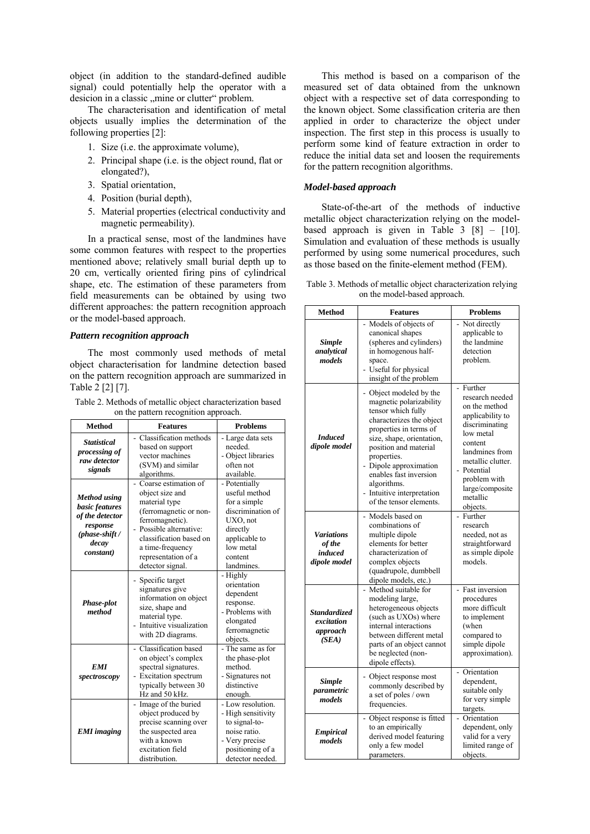object (in addition to the standard-defined audible signal) could potentially help the operator with a desicion in a classic "mine or clutter" problem.

The characterisation and identification of metal objects usually implies the determination of the following properties [2]:

- 1. Size (i.e. the approximate volume),
- 2. Principal shape (i.e. is the object round, flat or elongated?),
- 3. Spatial orientation,
- 4. Position (burial depth),
- 5. Material properties (electrical conductivity and magnetic permeability).

In a practical sense, most of the landmines have some common features with respect to the properties mentioned above; relatively small burial depth up to 20 cm, vertically oriented firing pins of cylindrical shape, etc. The estimation of these parameters from field measurements can be obtained by using two different approaches: the pattern recognition approach or the model-based approach.

#### *Pattern recognition approach*

The most commonly used methods of metal object characterisation for landmine detection based on the pattern recognition approach are summarized in Table 2 [2] [7].

Table 2. Methods of metallic object characterization based on the pattern recognition approach.

| on the pattern recognition approach.                                                                           |                                                                                                                                                                                                                            |                                                                                                                                                    |  |  |
|----------------------------------------------------------------------------------------------------------------|----------------------------------------------------------------------------------------------------------------------------------------------------------------------------------------------------------------------------|----------------------------------------------------------------------------------------------------------------------------------------------------|--|--|
| <b>Method</b>                                                                                                  | <b>Features</b>                                                                                                                                                                                                            | <b>Problems</b>                                                                                                                                    |  |  |
| <b>Statistical</b><br>processing of<br>raw detector<br>signals                                                 | - Classification methods<br>based on support<br>vector machines<br>(SVM) and similar<br>algorithms.                                                                                                                        | - Large data sets<br>needed.<br>- Object libraries<br>often not<br>available.                                                                      |  |  |
| <b>Method</b> using<br>basic features<br>of the detector<br>response<br>$(phase-shift /$<br>decay<br>constant) | - Coarse estimation of<br>object size and<br>material type<br>(ferromagnetic or non-<br>ferromagnetic).<br>Possible alternative:<br>classification based on<br>a time-frequency<br>representation of a<br>detector signal. | - Potentially<br>useful method<br>for a simple<br>discrimination of<br>UXO, not<br>directly<br>applicable to<br>low metal<br>content<br>landmines. |  |  |
| Phase-plot<br>method                                                                                           | - Specific target<br>signatures give<br>information on object<br>size, shape and<br>material type.<br>Intuitive visualization<br>with 2D diagrams.                                                                         | - Highly<br>orientation<br>dependent<br>response.<br>- Problems with<br>elongated<br>ferromagnetic<br>objects.                                     |  |  |
| <b>EMI</b><br>spectroscopy                                                                                     | - Classification based<br>on object's complex<br>spectral signatures.<br>Excitation spectrum<br>typically between 30<br>Hz and 50 kHz.                                                                                     | - The same as for<br>the phase-plot<br>method.<br>- Signatures not<br>distinctive<br>enough.                                                       |  |  |
| <b>EMI</b> imaging                                                                                             | Image of the buried<br>object produced by<br>precise scanning over<br>the suspected area<br>with a known<br>excitation field<br>distribution.                                                                              | - Low resolution.<br>- High sensitivity<br>to signal-to-<br>noise ratio.<br>- Very precise<br>positioning of a<br>detector needed.                 |  |  |

This method is based on a comparison of the measured set of data obtained from the unknown object with a respective set of data corresponding to the known object. Some classification criteria are then applied in order to characterize the object under inspection. The first step in this process is usually to perform some kind of feature extraction in order to reduce the initial data set and loosen the requirements for the pattern recognition algorithms.

#### *Model-based approach*

State-of-the-art of the methods of inductive metallic object characterization relying on the modelbased approach is given in Table  $3 \times 81 - 10$ . Simulation and evaluation of these methods is usually performed by using some numerical procedures, such as those based on the finite-element method (FEM).

| Table 3. Methods of metallic object characterization relying |
|--------------------------------------------------------------|
| on the model-based approach.                                 |

| <b>Method</b>                                          | <b>Features</b>                                                                                                                                                                                                                                                                                                                                  | <b>Problems</b>                                                                                                                                                                                                                           |
|--------------------------------------------------------|--------------------------------------------------------------------------------------------------------------------------------------------------------------------------------------------------------------------------------------------------------------------------------------------------------------------------------------------------|-------------------------------------------------------------------------------------------------------------------------------------------------------------------------------------------------------------------------------------------|
| <b>Simple</b><br>analytical<br>models                  | - Models of objects of<br>canonical shapes<br>(spheres and cylinders)<br>in homogenous half-<br>space.<br>Useful for physical<br>insight of the problem                                                                                                                                                                                          | - Not directly<br>applicable to<br>the landmine<br>detection<br>problem.                                                                                                                                                                  |
| <b>Induced</b><br>dipole model                         | - Object modeled by the<br>magnetic polarizability<br>tensor which fully<br>characterizes the object<br>properties in terms of<br>size, shape, orientation,<br>position and material<br>properties.<br>Dipole approximation<br>enables fast inversion<br>algorithms.<br>Intuitive interpretation<br>of the tensor elements.<br>- Models based on | - Further<br>research needed<br>on the method<br>applicability to<br>discriminating<br>low metal<br>content<br>landmines from<br>metallic clutter.<br>- Potential<br>problem with<br>large/composite<br>metallic<br>objects.<br>- Further |
| <b>Variations</b><br>of the<br>induced<br>dipole model | combinations of<br>multiple dipole<br>elements for better<br>characterization of<br>complex objects<br>(quadrupole, dumbbell<br>dipole models, etc.)                                                                                                                                                                                             | research<br>needed, not as<br>straightforward<br>as simple dipole<br>models.                                                                                                                                                              |
| <b>Standardized</b><br>excitation<br>approach<br>(SEA) | Method suitable for<br>$\overline{a}$<br>modeling large,<br>heterogeneous objects<br>(such as UXOs) where<br>internal interactions<br>between different metal<br>parts of an object cannot<br>be neglected (non-<br>dipole effects).                                                                                                             | - Fast inversion<br>procedures<br>more difficult<br>to implement<br>(when<br>compared to<br>simple dipole<br>approximation).                                                                                                              |
| <b>Simple</b><br>parametric<br>models                  | Object response most<br>commonly described by<br>a set of poles / own<br>frequencies.                                                                                                                                                                                                                                                            | Orientation<br>÷.<br>dependent,<br>suitable only<br>for very simple<br>targets.                                                                                                                                                           |
| <b>Empirical</b><br>models                             | - Object response is fitted<br>to an empirically<br>derived model featuring<br>only a few model<br>parameters.                                                                                                                                                                                                                                   | Orientation<br>dependent, only<br>valid for a very<br>limited range of<br>objects.                                                                                                                                                        |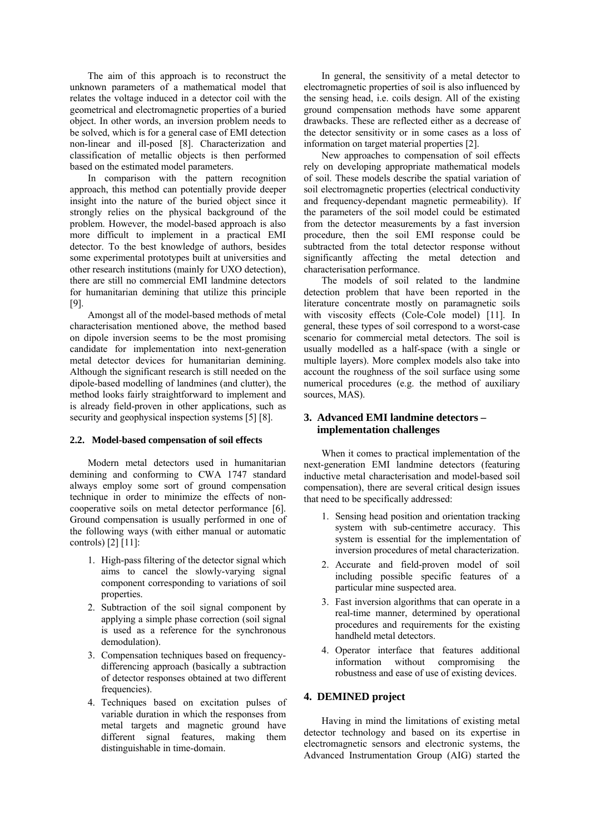The aim of this approach is to reconstruct the unknown parameters of a mathematical model that relates the voltage induced in a detector coil with the geometrical and electromagnetic properties of a buried object. In other words, an inversion problem needs to be solved, which is for a general case of EMI detection non-linear and ill-posed [8]. Characterization and classification of metallic objects is then performed based on the estimated model parameters.

In comparison with the pattern recognition approach, this method can potentially provide deeper insight into the nature of the buried object since it strongly relies on the physical background of the problem. However, the model-based approach is also more difficult to implement in a practical EMI detector. To the best knowledge of authors, besides some experimental prototypes built at universities and other research institutions (mainly for UXO detection), there are still no commercial EMI landmine detectors for humanitarian demining that utilize this principle [9].

Amongst all of the model-based methods of metal characterisation mentioned above, the method based on dipole inversion seems to be the most promising candidate for implementation into next-generation metal detector devices for humanitarian demining. Although the significant research is still needed on the dipole-based modelling of landmines (and clutter), the method looks fairly straightforward to implement and is already field-proven in other applications, such as security and geophysical inspection systems [5] [8].

# **2.2. Model-based compensation of soil effects**

Modern metal detectors used in humanitarian demining and conforming to CWA 1747 standard always employ some sort of ground compensation technique in order to minimize the effects of noncooperative soils on metal detector performance [6]. Ground compensation is usually performed in one of the following ways (with either manual or automatic controls) [2] [11]:

- 1. High-pass filtering of the detector signal which aims to cancel the slowly-varying signal component corresponding to variations of soil properties.
- 2. Subtraction of the soil signal component by applying a simple phase correction (soil signal is used as a reference for the synchronous demodulation).
- 3. Compensation techniques based on frequencydifferencing approach (basically a subtraction of detector responses obtained at two different frequencies).
- 4. Techniques based on excitation pulses of variable duration in which the responses from metal targets and magnetic ground have different signal features, making them distinguishable in time-domain.

In general, the sensitivity of a metal detector to electromagnetic properties of soil is also influenced by the sensing head, i.e. coils design. All of the existing ground compensation methods have some apparent drawbacks. These are reflected either as a decrease of the detector sensitivity or in some cases as a loss of information on target material properties [2].

New approaches to compensation of soil effects rely on developing appropriate mathematical models of soil. These models describe the spatial variation of soil electromagnetic properties (electrical conductivity and frequency-dependant magnetic permeability). If the parameters of the soil model could be estimated from the detector measurements by a fast inversion procedure, then the soil EMI response could be subtracted from the total detector response without significantly affecting the metal detection and characterisation performance.

The models of soil related to the landmine detection problem that have been reported in the literature concentrate mostly on paramagnetic soils with viscosity effects (Cole-Cole model) [11]. In general, these types of soil correspond to a worst-case scenario for commercial metal detectors. The soil is usually modelled as a half-space (with a single or multiple layers). More complex models also take into account the roughness of the soil surface using some numerical procedures (e.g. the method of auxiliary sources, MAS).

# **3. Advanced EMI landmine detectors – implementation challenges**

When it comes to practical implementation of the next-generation EMI landmine detectors (featuring inductive metal characterisation and model-based soil compensation), there are several critical design issues that need to be specifically addressed:

- 1. Sensing head position and orientation tracking system with sub-centimetre accuracy. This system is essential for the implementation of inversion procedures of metal characterization.
- 2. Accurate and field-proven model of soil including possible specific features of a particular mine suspected area.
- 3. Fast inversion algorithms that can operate in a real-time manner, determined by operational procedures and requirements for the existing handheld metal detectors.
- 4. Operator interface that features additional information without compromising the robustness and ease of use of existing devices.

# **4. DEMINED project**

Having in mind the limitations of existing metal detector technology and based on its expertise in electromagnetic sensors and electronic systems, the Advanced Instrumentation Group (AIG) started the